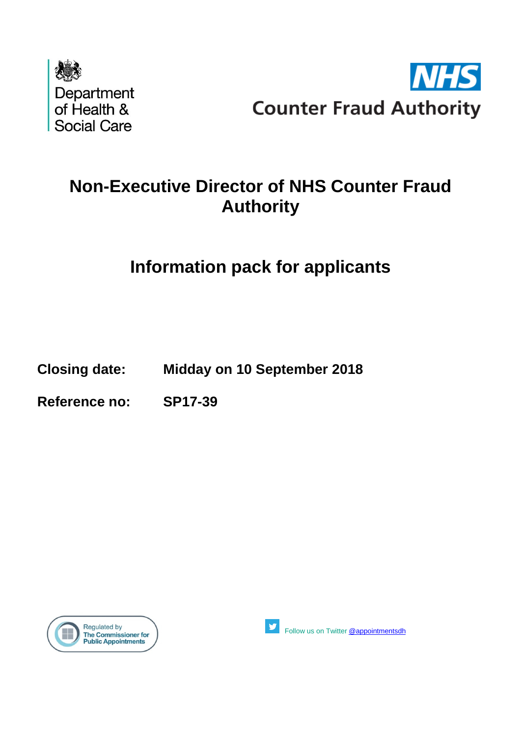



# **Non-Executive Director of NHS Counter Fraud Authority**

# **Information pack for applicants**

**Closing date: Midday on 10 September 2018**

**Reference no: SP17-39**





Follow us on Twitter [@appointmentsdh](https://twitter.com/search?q=%40appointmentsdh&src=typd)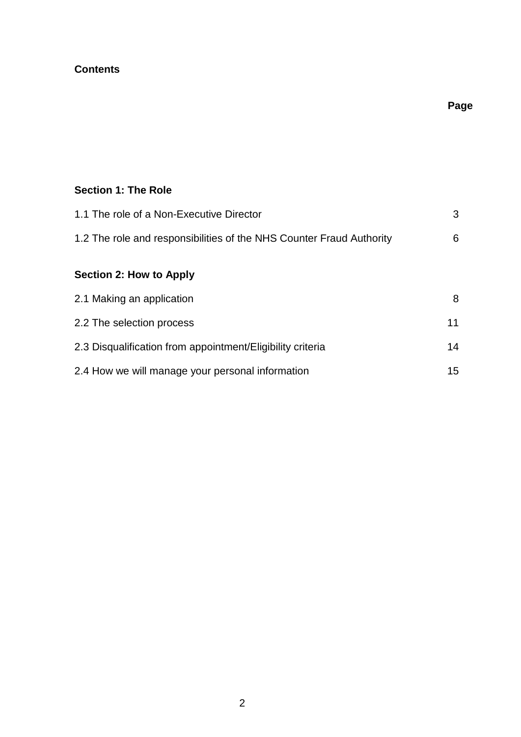# **Contents**

# **Page**

# **Section 1: The Role**

| 1.1 The role of a Non-Executive Director                             | 3  |
|----------------------------------------------------------------------|----|
| 1.2 The role and responsibilities of the NHS Counter Fraud Authority | 6  |
| <b>Section 2: How to Apply</b>                                       |    |
| 2.1 Making an application                                            | 8  |
| 2.2 The selection process                                            | 11 |
| 2.3 Disqualification from appointment/Eligibility criteria           | 14 |
| 2.4 How we will manage your personal information                     | 15 |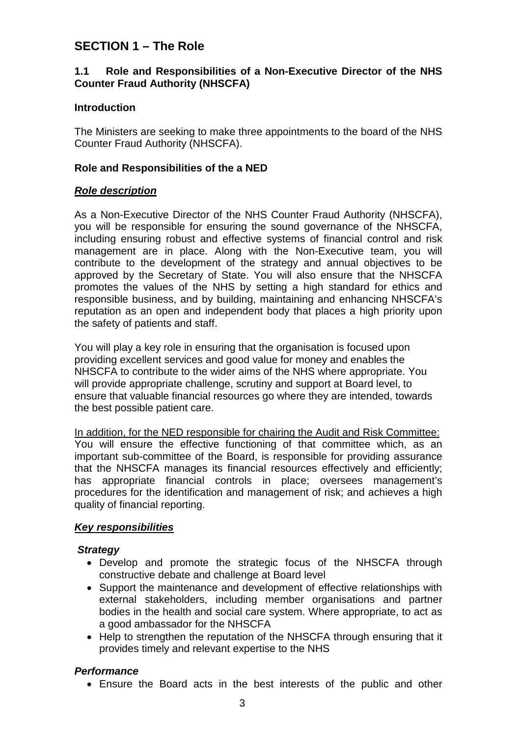# **SECTION 1 – The Role**

# **1.1 Role and Responsibilities of a Non-Executive Director of the NHS Counter Fraud Authority (NHSCFA)**

# **Introduction**

The Ministers are seeking to make three appointments to the board of the NHS Counter Fraud Authority (NHSCFA).

# **Role and Responsibilities of the a NED**

# *Role description*

As a Non-Executive Director of the NHS Counter Fraud Authority (NHSCFA), you will be responsible for ensuring the sound governance of the NHSCFA, including ensuring robust and effective systems of financial control and risk management are in place. Along with the Non-Executive team, you will contribute to the development of the strategy and annual objectives to be approved by the Secretary of State. You will also ensure that the NHSCFA promotes the values of the NHS by setting a high standard for ethics and responsible business, and by building, maintaining and enhancing NHSCFA's reputation as an open and independent body that places a high priority upon the safety of patients and staff.

You will play a key role in ensuring that the organisation is focused upon providing excellent services and good value for money and enables the NHSCFA to contribute to the wider aims of the NHS where appropriate. You will provide appropriate challenge, scrutiny and support at Board level, to ensure that valuable financial resources go where they are intended, towards the best possible patient care.

In addition, for the NED responsible for chairing the Audit and Risk Committee: You will ensure the effective functioning of that committee which, as an important sub-committee of the Board, is responsible for providing assurance that the NHSCFA manages its financial resources effectively and efficiently; has appropriate financial controls in place; oversees management's procedures for the identification and management of risk; and achieves a high quality of financial reporting.

# *Key responsibilities*

# *Strategy*

- Develop and promote the strategic focus of the NHSCFA through constructive debate and challenge at Board level
- Support the maintenance and development of effective relationships with external stakeholders, including member organisations and partner bodies in the health and social care system. Where appropriate, to act as a good ambassador for the NHSCFA
- Help to strengthen the reputation of the NHSCFA through ensuring that it provides timely and relevant expertise to the NHS

# *Performance*

• Ensure the Board acts in the best interests of the public and other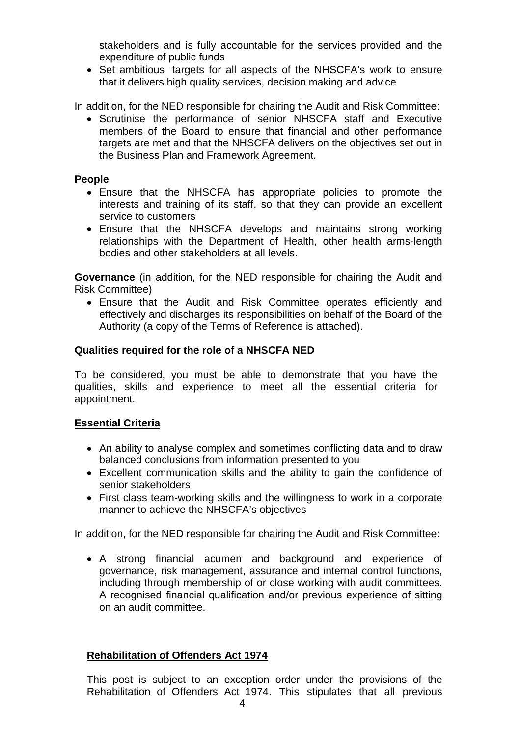stakeholders and is fully accountable for the services provided and the expenditure of public funds

• Set ambitious targets for all aspects of the NHSCFA's work to ensure that it delivers high quality services, decision making and advice

In addition, for the NED responsible for chairing the Audit and Risk Committee:

• Scrutinise the performance of senior NHSCFA staff and Executive members of the Board to ensure that financial and other performance targets are met and that the NHSCFA delivers on the objectives set out in the Business Plan and Framework Agreement.

# **People**

- Ensure that the NHSCFA has appropriate policies to promote the interests and training of its staff, so that they can provide an excellent service to customers
- Ensure that the NHSCFA develops and maintains strong working relationships with the Department of Health, other health arms-length bodies and other stakeholders at all levels.

**Governance** (in addition, for the NED responsible for chairing the Audit and Risk Committee)

• Ensure that the Audit and Risk Committee operates efficiently and effectively and discharges its responsibilities on behalf of the Board of the Authority (a copy of the Terms of Reference is attached).

#### **Qualities required for the role of a NHSCFA NED**

To be considered, you must be able to demonstrate that you have the qualities, skills and experience to meet all the essential criteria for appointment.

# **Essential Criteria**

- An ability to analyse complex and sometimes conflicting data and to draw balanced conclusions from information presented to you
- Excellent communication skills and the ability to gain the confidence of senior stakeholders
- First class team-working skills and the willingness to work in a corporate manner to achieve the NHSCFA's objectives

In addition, for the NED responsible for chairing the Audit and Risk Committee:

• A strong financial acumen and background and experience of governance, risk management, assurance and internal control functions, including through membership of or close working with audit committees. A recognised financial qualification and/or previous experience of sitting on an audit committee.

#### **Rehabilitation of Offenders Act 1974**

This post is subject to an exception order under the provisions of the Rehabilitation of Offenders Act 1974. This stipulates that all previous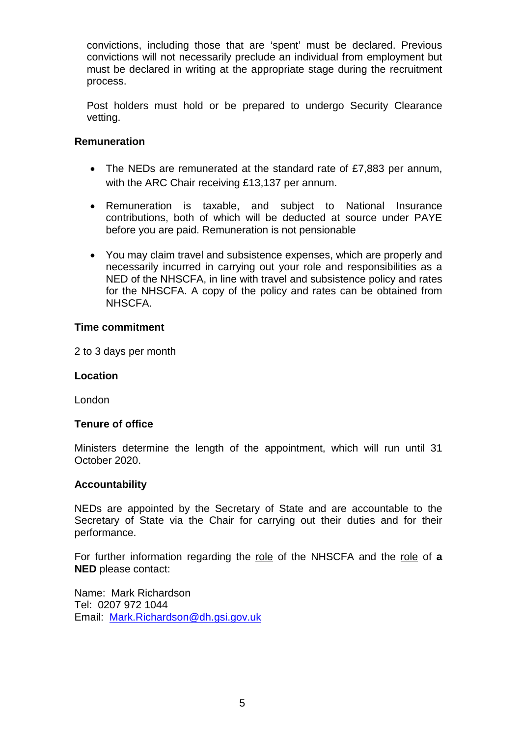convictions, including those that are 'spent' must be declared. Previous convictions will not necessarily preclude an individual from employment but must be declared in writing at the appropriate stage during the recruitment process.

Post holders must hold or be prepared to undergo Security Clearance vetting.

# **Remuneration**

- The NEDs are remunerated at the standard rate of £7,883 per annum, with the ARC Chair receiving £13,137 per annum.
- Remuneration is taxable, and subject to National Insurance contributions, both of which will be deducted at source under PAYE before you are paid. Remuneration is not pensionable
- You may claim travel and subsistence expenses, which are properly and necessarily incurred in carrying out your role and responsibilities as a NED of the NHSCFA, in line with travel and subsistence policy and rates for the NHSCFA. A copy of the policy and rates can be obtained from NHSCFA.

#### **Time commitment**

2 to 3 days per month

# **Location**

London

# **Tenure of office**

Ministers determine the length of the appointment, which will run until 31 October 2020.

#### **Accountability**

NEDs are appointed by the Secretary of State and are accountable to the Secretary of State via the Chair for carrying out their duties and for their performance.

For further information regarding the role of the NHSCFA and the role of **a NED** please contact:

Name: Mark Richardson Tel: 0207 972 1044 Email: [Mark.Richardson@dh.gsi.gov.uk](mailto:mark.richardson@dh.gsi.gov.uk)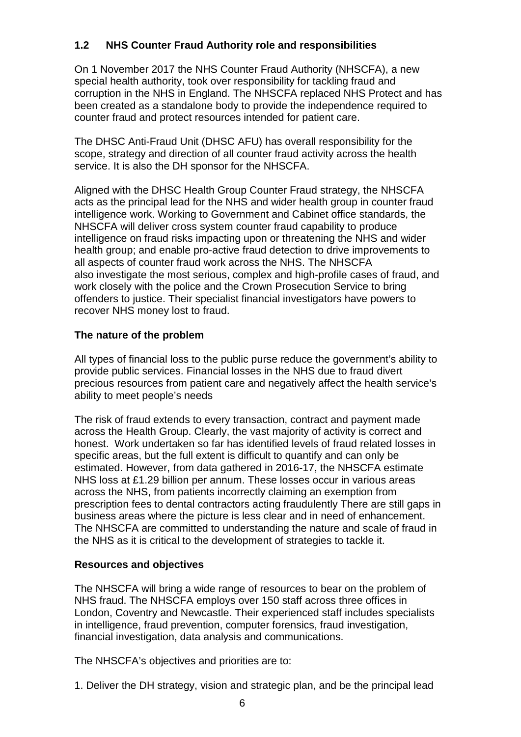# **1.2 NHS Counter Fraud Authority role and responsibilities**

On 1 November 2017 the NHS Counter Fraud Authority (NHSCFA), a new special health authority, took over responsibility for tackling fraud and corruption in the NHS in England. The NHSCFA replaced NHS Protect and has been created as a standalone body to provide the independence required to counter fraud and protect resources intended for patient care.

The DHSC Anti-Fraud Unit (DHSC AFU) has overall responsibility for the scope, strategy and direction of all counter fraud activity across the health service. It is also the DH sponsor for the NHSCFA.

Aligned with the DHSC Health Group Counter Fraud strategy, the NHSCFA acts as the principal lead for the NHS and wider health group in counter fraud intelligence work. Working to Government and Cabinet office standards, the NHSCFA will deliver cross system counter fraud capability to produce intelligence on fraud risks impacting upon or threatening the NHS and wider health group; and enable pro-active fraud detection to drive improvements to all aspects of counter fraud work across the NHS. The NHSCFA also investigate the most serious, complex and high-profile cases of fraud, and work closely with the police and the Crown Prosecution Service to bring offenders to justice. Their specialist financial investigators have powers to recover NHS money lost to fraud.

# **The nature of the problem**

All types of financial loss to the public purse reduce the government's ability to provide public services. Financial losses in the NHS due to fraud divert precious resources from patient care and negatively affect the health service's ability to meet people's needs

The risk of fraud extends to every transaction, contract and payment made across the Health Group. Clearly, the vast majority of activity is correct and honest. Work undertaken so far has identified levels of fraud related losses in specific areas, but the full extent is difficult to quantify and can only be estimated. However, from data gathered in 2016-17, the NHSCFA estimate NHS loss at £1.29 billion per annum. These losses occur in various areas across the NHS, from patients incorrectly claiming an exemption from prescription fees to dental contractors acting fraudulently There are still gaps in business areas where the picture is less clear and in need of enhancement. The NHSCFA are committed to understanding the nature and scale of fraud in the NHS as it is critical to the development of strategies to tackle it.

# **Resources and objectives**

The NHSCFA will bring a wide range of resources to bear on the problem of NHS fraud. The NHSCFA employs over 150 staff across three offices in London, Coventry and Newcastle. Their experienced staff includes specialists in intelligence, fraud prevention, computer forensics, fraud investigation, financial investigation, data analysis and communications.

The NHSCFA's objectives and priorities are to:

1. Deliver the DH strategy, vision and strategic plan, and be the principal lead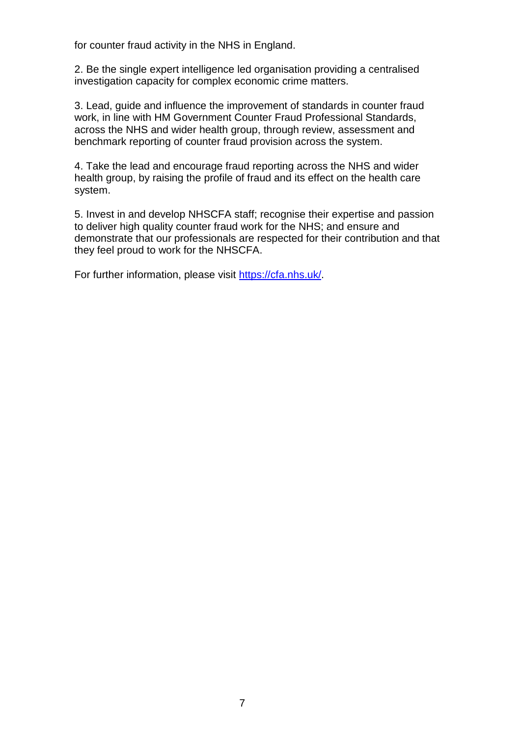for counter fraud activity in the NHS in England.

2. Be the single expert intelligence led organisation providing a centralised investigation capacity for complex economic crime matters.

3. Lead, guide and influence the improvement of standards in counter fraud work, in line with HM Government Counter Fraud Professional Standards, across the NHS and wider health group, through review, assessment and benchmark reporting of counter fraud provision across the system.

4. Take the lead and encourage fraud reporting across the NHS and wider health group, by raising the profile of fraud and its effect on the health care system.

5. Invest in and develop NHSCFA staff; recognise their expertise and passion to deliver high quality counter fraud work for the NHS; and ensure and demonstrate that our professionals are respected for their contribution and that they feel proud to work for the NHSCFA.

For further information, please visit [https://cfa.nhs.uk/.](https://cfa.nhs.uk/)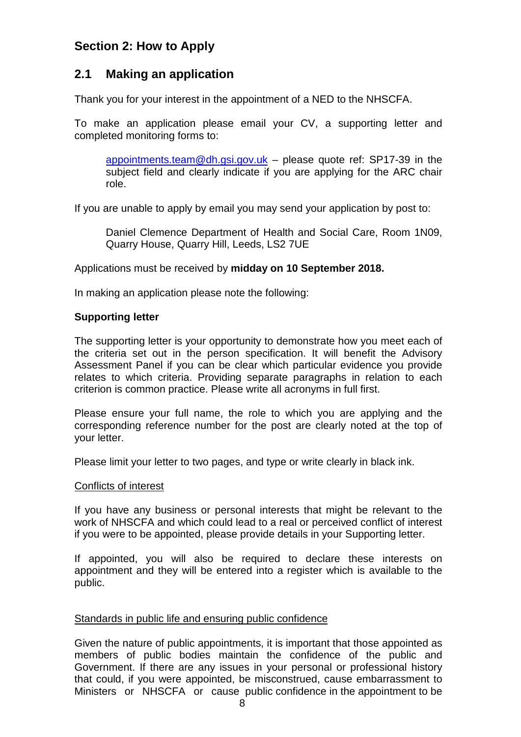# **Section 2: How to Apply**

# **2.1 Making an application**

Thank you for your interest in the appointment of a NED to the NHSCFA.

To make an application please email your CV, a supporting letter and completed monitoring forms to:

[appointments.team@dh.gsi.gov.uk](mailto:appointments.team@dh.gsi.gov.uk) – please quote ref: SP17-39 in the subject field and clearly indicate if you are applying for the ARC chair role.

If you are unable to apply by email you may send your application by post to:

Daniel Clemence Department of Health and Social Care, Room 1N09, Quarry House, Quarry Hill, Leeds, LS2 7UE

#### Applications must be received by **midday on 10 September 2018.**

In making an application please note the following:

# **Supporting letter**

The supporting letter is your opportunity to demonstrate how you meet each of the criteria set out in the person specification. It will benefit the Advisory Assessment Panel if you can be clear which particular evidence you provide relates to which criteria. Providing separate paragraphs in relation to each criterion is common practice. Please write all acronyms in full first.

Please ensure your full name, the role to which you are applying and the corresponding reference number for the post are clearly noted at the top of your letter.

Please limit your letter to two pages, and type or write clearly in black ink.

#### Conflicts of interest

If you have any business or personal interests that might be relevant to the work of NHSCFA and which could lead to a real or perceived conflict of interest if you were to be appointed, please provide details in your Supporting letter.

If appointed, you will also be required to declare these interests on appointment and they will be entered into a register which is available to the public.

#### Standards in public life and ensuring public confidence

Given the nature of public appointments, it is important that those appointed as members of public bodies maintain the confidence of the public and Government. If there are any issues in your personal or professional history that could, if you were appointed, be misconstrued, cause embarrassment to Ministers or NHSCFA or cause public confidence in the appointment to be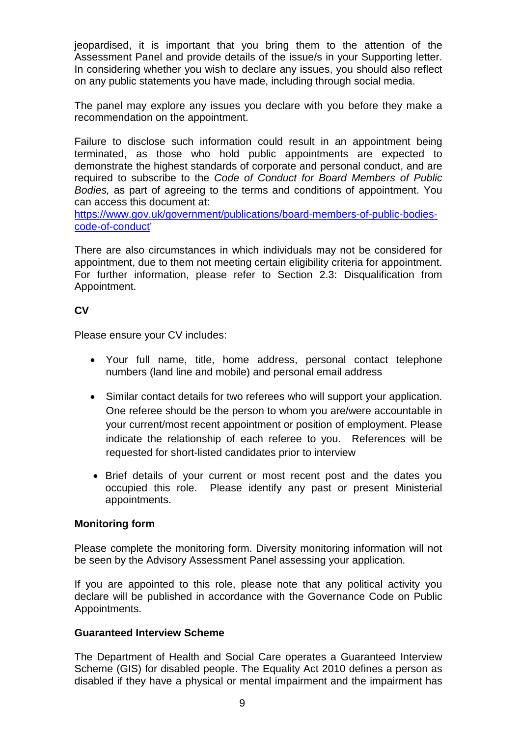jeopardised, it is important that you bring them to the attention of the Assessment Panel and provide details of the issue/s in your Supporting letter. In considering whether you wish to declare any issues, you should also reflect on any public statements you have made, including through social media.

The panel may explore any issues you declare with you before they make a recommendation on the appointment.

Failure to disclose such information could result in an appointment being terminated, as those who hold public appointments are expected to demonstrate the highest standards of corporate and personal conduct, and are required to subscribe to the *Code of Conduct for Board Members of Public Bodies,* as part of agreeing to the terms and conditions of appointment. You can access this document at:

[https://www.gov.uk/government/publications/board-members-of-public-bodies](https://www.gov.uk/government/publications/board-members-of-public-bodies-code-of-conduct)[code-of-conduct'](https://www.gov.uk/government/publications/board-members-of-public-bodies-code-of-conduct)

There are also circumstances in which individuals may not be considered for appointment, due to them not meeting certain eligibility criteria for appointment. For further information, please refer to Section 2.3: Disqualification from Appointment.

# **CV**

Please ensure your CV includes:

- Your full name, title, home address, personal contact telephone numbers (land line and mobile) and personal email address
- Similar contact details for two referees who will support your application. One referee should be the person to whom you are/were accountable in your current/most recent appointment or position of employment. Please indicate the relationship of each referee to you. References will be requested for short-listed candidates prior to interview
- Brief details of your current or most recent post and the dates you occupied this role. Please identify any past or present Ministerial appointments.

# **Monitoring form**

Please complete the monitoring form. Diversity monitoring information will not be seen by the Advisory Assessment Panel assessing your application.

If you are appointed to this role, please note that any political activity you declare will be published in accordance with the Governance Code on Public Appointments.

# **Guaranteed Interview Scheme**

The Department of Health and Social Care operates a Guaranteed Interview Scheme (GIS) for disabled people. The Equality Act 2010 defines a person as disabled if they have a physical or mental impairment and the impairment has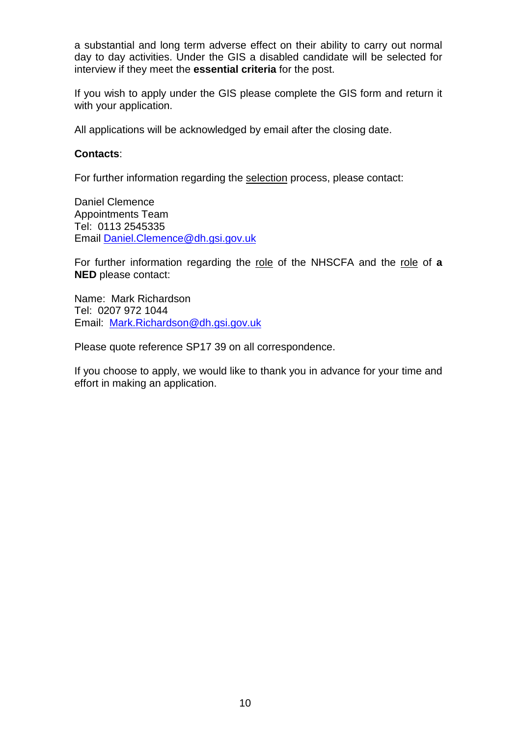a substantial and long term adverse effect on their ability to carry out normal day to day activities. Under the GIS a disabled candidate will be selected for interview if they meet the **essential criteria** for the post.

If you wish to apply under the GIS please complete the GIS form and return it with your application.

All applications will be acknowledged by email after the closing date.

#### **Contacts**:

For further information regarding the selection process, please contact:

Daniel Clemence Appointments Team Tel: 0113 2545335 Email [Daniel.Clemence@dh.gsi.gov.uk](mailto:Daniel.Clemence@dh.gsi.gov.uk)

For further information regarding the role of the NHSCFA and the role of **a NED** please contact:

Name: Mark Richardson Tel: 0207 972 1044 Email: [Mark.Richardson@dh.gsi.gov.uk](mailto:mark.richardson@dh.gsi.gov.uk)

Please quote reference SP17 39 on all correspondence.

If you choose to apply, we would like to thank you in advance for your time and effort in making an application.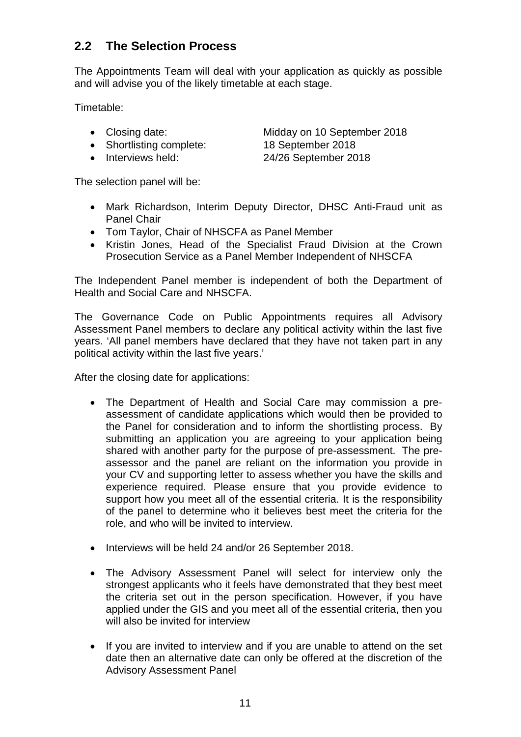# **2.2 The Selection Process**

The Appointments Team will deal with your application as quickly as possible and will advise you of the likely timetable at each stage.

Timetable:

- 
- Shortlisting complete: 18 September 2018
- 

• Closing date: Midday on 10 September 2018 • Interviews held: 24/26 September 2018

The selection panel will be:

- Mark Richardson, Interim Deputy Director, DHSC Anti-Fraud unit as Panel Chair
- Tom Taylor, Chair of NHSCFA as Panel Member
- Kristin Jones, Head of the Specialist Fraud Division at the Crown Prosecution Service as a Panel Member Independent of NHSCFA

The Independent Panel member is independent of both the Department of Health and Social Care and NHSCFA.

The Governance Code on Public Appointments requires all Advisory Assessment Panel members to declare any political activity within the last five years. 'All panel members have declared that they have not taken part in any political activity within the last five years.'

After the closing date for applications:

- The Department of Health and Social Care may commission a preassessment of candidate applications which would then be provided to the Panel for consideration and to inform the shortlisting process. By submitting an application you are agreeing to your application being shared with another party for the purpose of pre-assessment. The preassessor and the panel are reliant on the information you provide in your CV and supporting letter to assess whether you have the skills and experience required. Please ensure that you provide evidence to support how you meet all of the essential criteria. It is the responsibility of the panel to determine who it believes best meet the criteria for the role, and who will be invited to interview.
- Interviews will be held 24 and/or 26 September 2018.
- The Advisory Assessment Panel will select for interview only the strongest applicants who it feels have demonstrated that they best meet the criteria set out in the person specification. However, if you have applied under the GIS and you meet all of the essential criteria, then you will also be invited for interview
- If you are invited to interview and if you are unable to attend on the set date then an alternative date can only be offered at the discretion of the Advisory Assessment Panel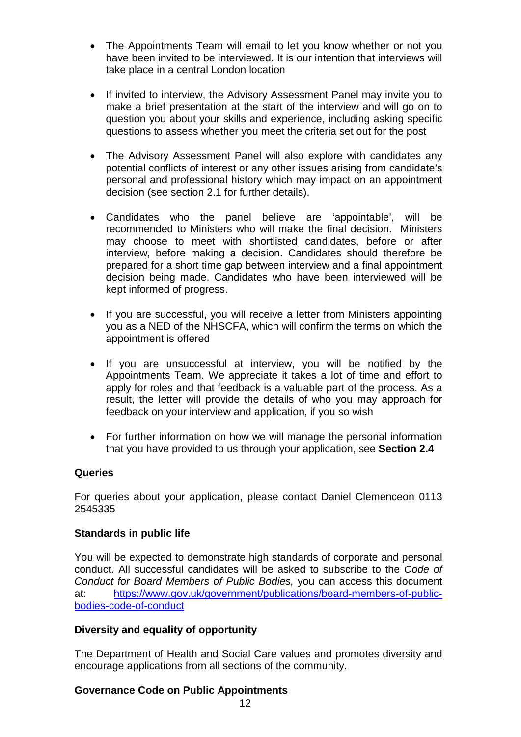- The Appointments Team will email to let you know whether or not you have been invited to be interviewed. It is our intention that interviews will take place in a central London location
- If invited to interview, the Advisory Assessment Panel may invite you to make a brief presentation at the start of the interview and will go on to question you about your skills and experience, including asking specific questions to assess whether you meet the criteria set out for the post
- The Advisory Assessment Panel will also explore with candidates any potential conflicts of interest or any other issues arising from candidate's personal and professional history which may impact on an appointment decision (see section 2.1 for further details).
- Candidates who the panel believe are 'appointable', will be recommended to Ministers who will make the final decision. Ministers may choose to meet with shortlisted candidates, before or after interview, before making a decision. Candidates should therefore be prepared for a short time gap between interview and a final appointment decision being made. Candidates who have been interviewed will be kept informed of progress.
- If you are successful, you will receive a letter from Ministers appointing you as a NED of the NHSCFA, which will confirm the terms on which the appointment is offered
- If you are unsuccessful at interview, you will be notified by the Appointments Team. We appreciate it takes a lot of time and effort to apply for roles and that feedback is a valuable part of the process. As a result, the letter will provide the details of who you may approach for feedback on your interview and application, if you so wish
- For further information on how we will manage the personal information that you have provided to us through your application, see **Section 2.4**

# **Queries**

For queries about your application, please contact Daniel Clemenceon 0113 2545335

# **Standards in public life**

You will be expected to demonstrate high standards of corporate and personal conduct. All successful candidates will be asked to subscribe to the *Code of Conduct for Board Members of Public Bodies,* you can access this document at: [https://www.gov.uk/government/publications/board-members-of-public](https://www.gov.uk/government/publications/board-members-of-public-bodies-code-of-conduct)[bodies-code-of-conduct](https://www.gov.uk/government/publications/board-members-of-public-bodies-code-of-conduct)

# **Diversity and equality of opportunity**

The Department of Health and Social Care values and promotes diversity and encourage applications from all sections of the community.

# **Governance Code on Public Appointments**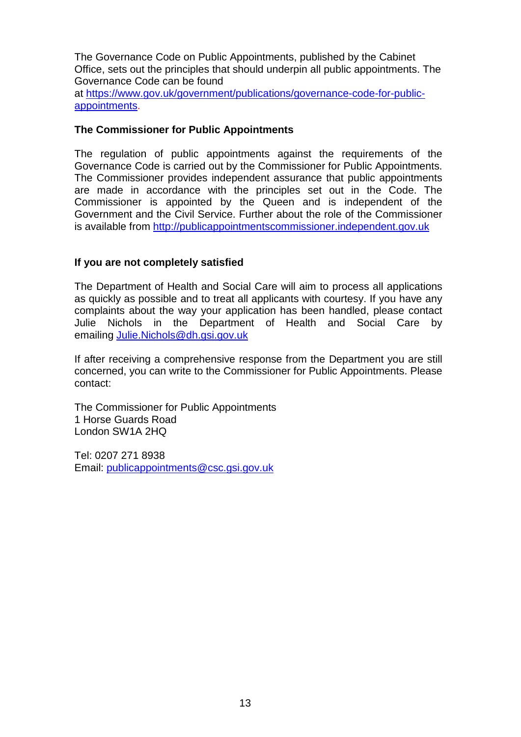The Governance Code on Public Appointments, published by the Cabinet Office, sets out the principles that should underpin all public appointments. The Governance Code can be found

at [https://www.gov.uk/government/publications/governance-code-for-public](https://www.gov.uk/government/publications/governance-code-for-public-appointments)[appointments.](https://www.gov.uk/government/publications/governance-code-for-public-appointments)

# **The Commissioner for Public Appointments**

The regulation of public appointments against the requirements of the Governance Code is carried out by the Commissioner for Public Appointments. The Commissioner provides independent assurance that public appointments are made in accordance with the principles set out in the Code. The Commissioner is appointed by the Queen and is independent of the Government and the Civil Service. Further about the role of the Commissioner is available from [http://publicappointmentscommissioner.independent.gov.uk](http://publicappointmentscommissioner.independent.gov.uk/) 

# **If you are not completely satisfied**

The Department of Health and Social Care will aim to process all applications as quickly as possible and to treat all applicants with courtesy. If you have any complaints about the way your application has been handled, please contact Julie Nichols in the Department of Health and Social Care by emailing [Julie.Nichols@dh.gsi.gov.uk](mailto:Julie.Nichols@dh.gsi.gov.uk)

If after receiving a comprehensive response from the Department you are still concerned, you can write to the Commissioner for Public Appointments. Please contact:

The Commissioner for Public Appointments 1 Horse Guards Road London SW1A 2HQ

Tel: 0207 271 8938 Email: [publicappointments@csc.gsi.gov.uk](mailto:publicappointments@csc.gsi.gov.uk)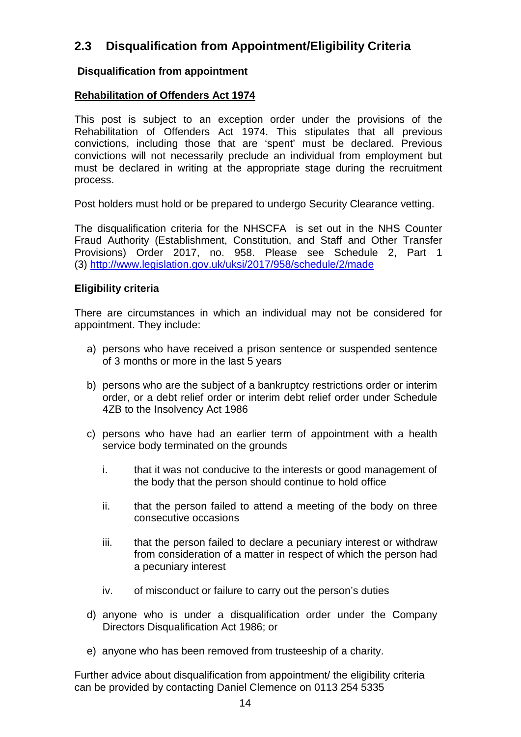# **2.3 Disqualification from Appointment/Eligibility Criteria**

# **Disqualification from appointment**

# **Rehabilitation of Offenders Act 1974**

This post is subject to an exception order under the provisions of the Rehabilitation of Offenders Act 1974. This stipulates that all previous convictions, including those that are 'spent' must be declared. Previous convictions will not necessarily preclude an individual from employment but must be declared in writing at the appropriate stage during the recruitment process.

Post holders must hold or be prepared to undergo Security Clearance vetting.

The disqualification criteria for the NHSCFA is set out in the NHS Counter Fraud Authority (Establishment, Constitution, and Staff and Other Transfer Provisions) Order 2017, no. 958. Please see Schedule 2, Part 1 (3)<http://www.legislation.gov.uk/uksi/2017/958/schedule/2/made>

# **Eligibility criteria**

There are circumstances in which an individual may not be considered for appointment. They include:

- a) persons who have received a prison sentence or suspended sentence of 3 months or more in the last 5 years
- b) persons who are the subject of a bankruptcy restrictions order or interim order, or a debt relief order or interim debt relief order under Schedule 4ZB to the Insolvency Act 1986
- c) persons who have had an earlier term of appointment with a health service body terminated on the grounds
	- i. that it was not conducive to the interests or good management of the body that the person should continue to hold office
	- ii. that the person failed to attend a meeting of the body on three consecutive occasions
	- iii. that the person failed to declare a pecuniary interest or withdraw from consideration of a matter in respect of which the person had a pecuniary interest
	- iv. of misconduct or failure to carry out the person's duties
- d) anyone who is under a disqualification order under the Company Directors Disqualification Act 1986; or
- e) anyone who has been removed from trusteeship of a charity.

Further advice about disqualification from appointment/ the eligibility criteria can be provided by contacting Daniel Clemence on 0113 254 5335